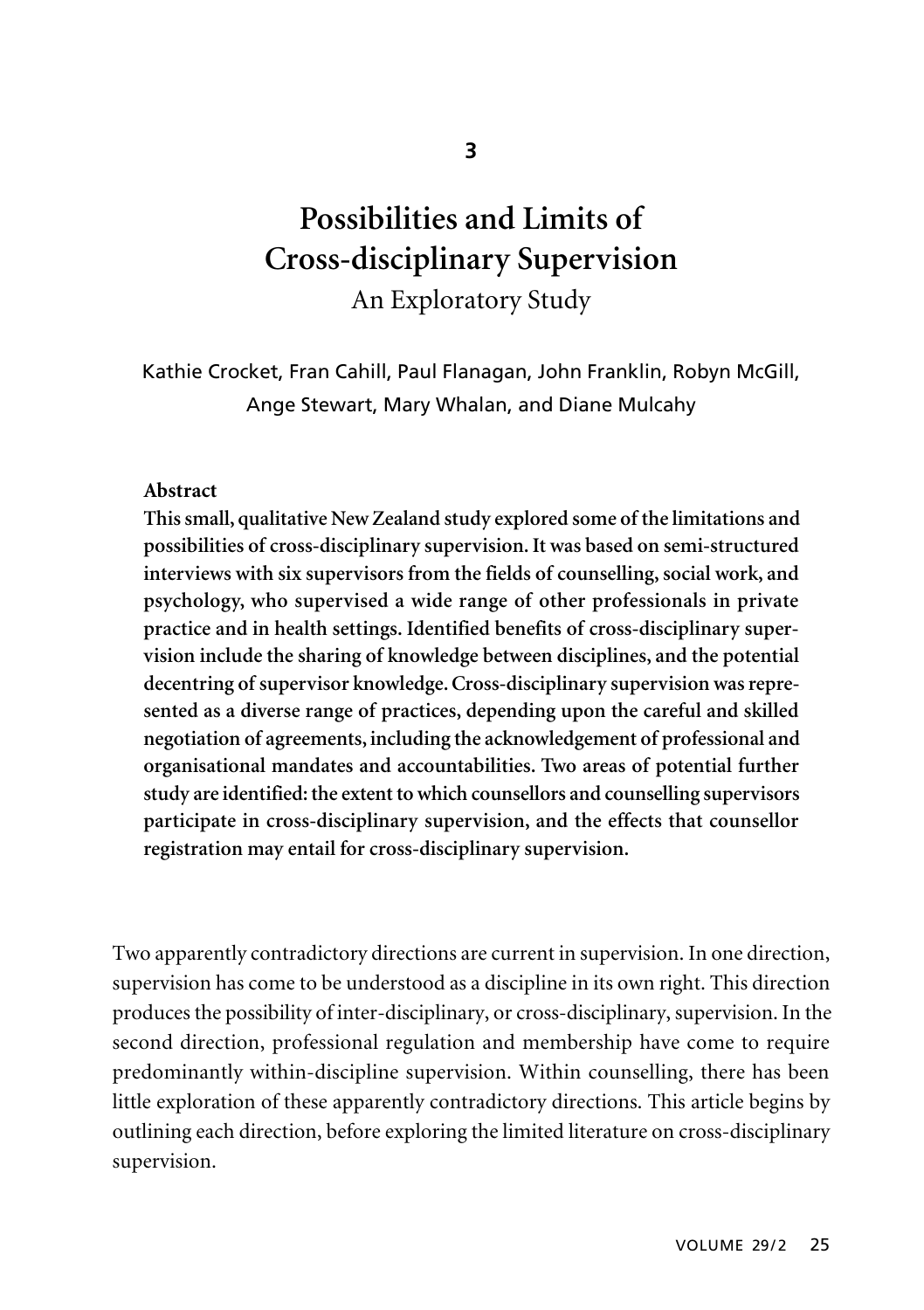# **Possibilities and Limits of Cross-disciplinary Supervision**  An Exploratory Study

Kathie Crocket, Fran Cahill, Paul Flanagan, John Franklin, Robyn McGill, Ange Stewart, Mary Whalan, and Diane Mulcahy

#### **Abstract**

**This small, qualitative New Zealand study explored some of the limitations and possibilities of cross-disciplinary supervision. It was based on semi-structured interviews with six supervisors from the fields of counselling, social work, and psychology, who supervised a wide range of other professionals in private practice and in health settings. Identified benefits of cross-disciplinary supervision include the sharing of knowledge between disciplines, and the potential decentring of supervisor knowledge. Cross-disciplinary supervision was represented as a diverse range of practices, depending upon the careful and skilled negotiation of agreements, including the acknowledgement of professional and organisational mandates and accountabilities. Two areas of potential further study are identified: the extent to which counsellors and counselling supervisors participate in cross-disciplinary supervision, and the effects that counsellor registration may entail for cross-disciplinary supervision.** 

Two apparently contradictory directions are current in supervision. In one direction, supervision has come to be understood as a discipline in its own right. This direction produces the possibility of inter-disciplinary, or cross-disciplinary, supervision. In the second direction, professional regulation and membership have come to require predominantly within-discipline supervision. Within counselling, there has been little exploration of these apparently contradictory directions. This article begins by outlining each direction, before exploring the limited literature on cross-disciplinary supervision.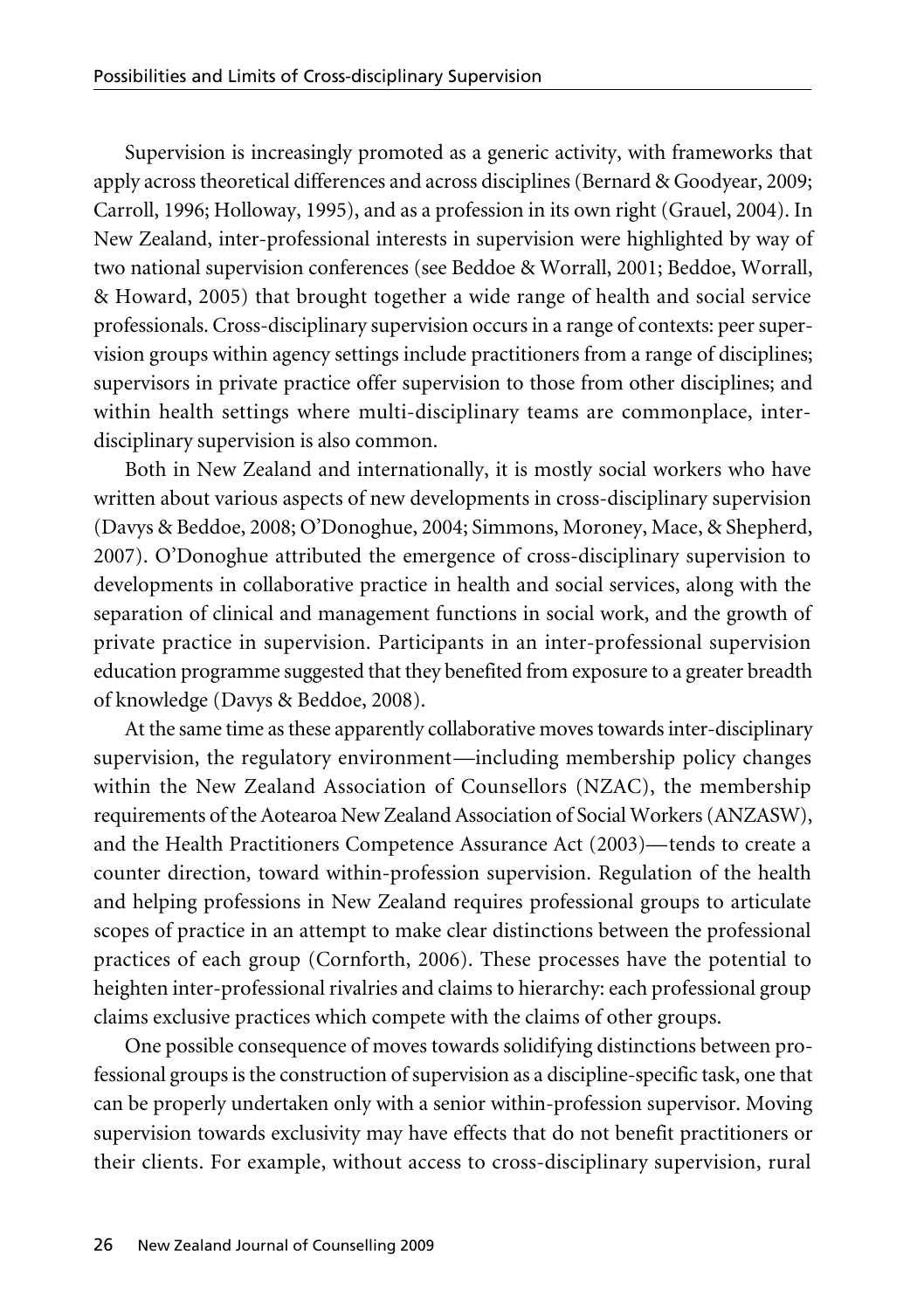Supervision is increasingly promoted as a generic activity, with frameworks that apply across theoretical differences and across disciplines (Bernard & Goodyear, 2009; Carroll, 1996; Holloway, 1995), and as a profession in its own right (Grauel, 2004). In New Zealand, inter-professional interests in supervision were highlighted by way of two national supervision conferences (see Beddoe & Worrall, 2001; Beddoe, Worrall, & Howard, 2005) that brought together a wide range of health and social service professionals. Cross-disciplinary supervision occurs in a range of contexts: peer supervision groups within agency settings include practitioners from a range of disciplines; supervisors in private practice offer supervision to those from other disciplines; and within health settings where multi-disciplinary teams are commonplace, interdisciplinary supervision is also common.

Both in New Zealand and internationally, it is mostly social workers who have written about various aspects of new developments in cross-disciplinary supervision (Davys & Beddoe, 2008; O'Donoghue, 2004; Simmons, Moroney, Mace, & Shepherd, 2007). O'Donoghue attributed the emergence of cross-disciplinary supervision to developments in collaborative practice in health and social services, along with the separation of clinical and management functions in social work, and the growth of private practice in supervision. Participants in an inter-professional supervision education programme suggested that they benefited from exposure to a greater breadth of knowledge (Davys & Beddoe, 2008).

At the same time as these apparently collaborative moves towards inter-disciplinary supervision, the regulatory environment—including membership policy changes within the New Zealand Association of Counsellors (NZAC), the membership requirements of the Aotearoa New Zealand Association of Social Workers (ANZASW), and the Health Practitioners Competence Assurance Act (2003)—tends to create a counter direction, toward within-profession supervision. Regulation of the health and helping professions in New Zealand requires professional groups to articulate scopes of practice in an attempt to make clear distinctions between the professional practices of each group (Cornforth, 2006). These processes have the potential to heighten inter-professional rivalries and claims to hierarchy: each professional group claims exclusive practices which compete with the claims of other groups.

One possible consequence of moves towards solidifying distinctions between professional groups is the construction of supervision as a discipline-specific task, one that can be properly undertaken only with a senior within-profession supervisor. Moving supervision towards exclusivity may have effects that do not benefit practitioners or their clients. For example, without access to cross-disciplinary supervision, rural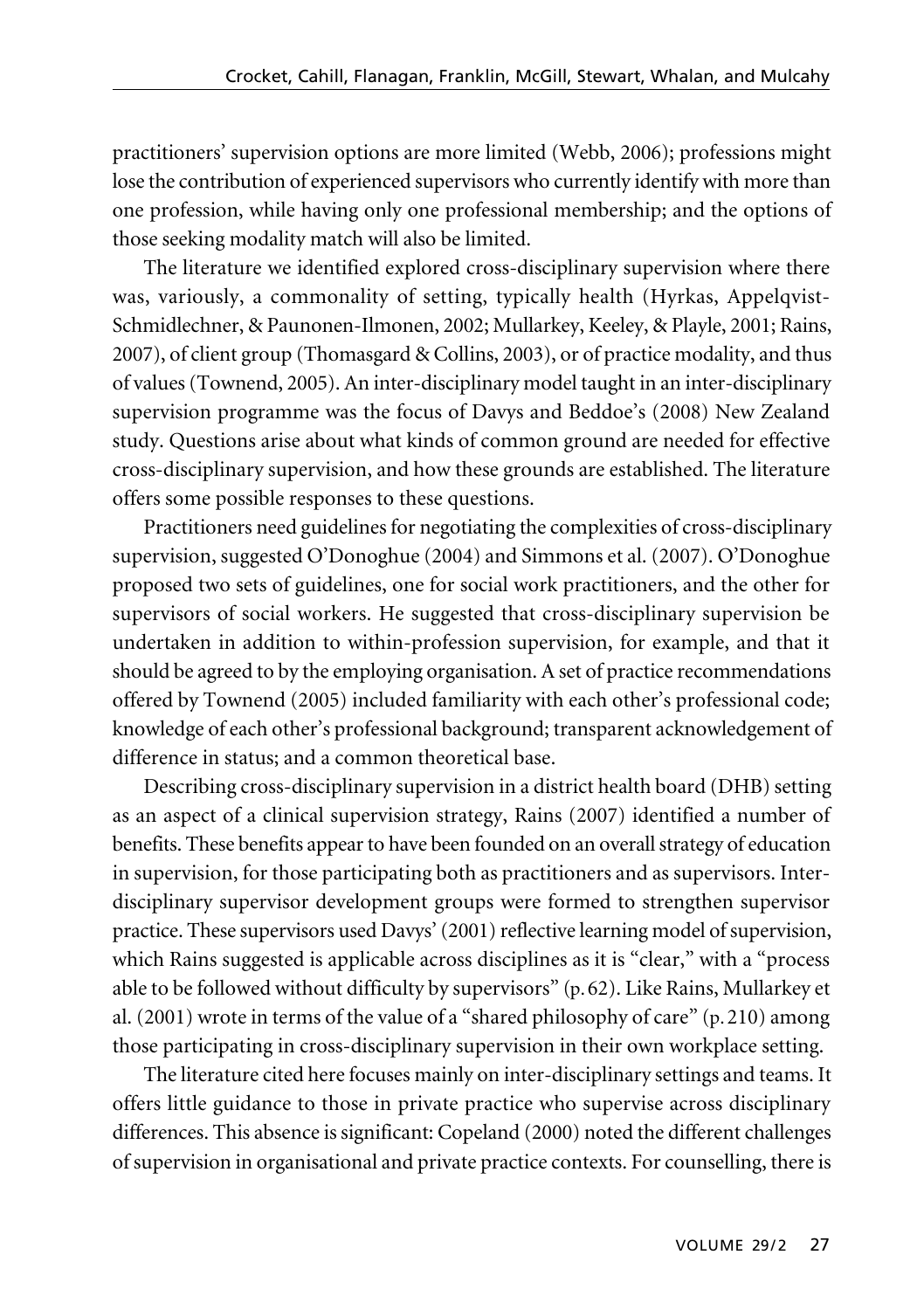practitioners' supervision options are more limited (Webb, 2006); professions might lose the contribution of experienced supervisors who currently identify with more than one profession, while having only one professional membership; and the options of those seeking modality match will also be limited.

The literature we identified explored cross-disciplinary supervision where there was, variously, a commonality of setting, typically health (Hyrkas, Appelqvist-Schmidlechner, & Paunonen-Ilmonen, 2002; Mullarkey, Keeley, & Playle, 2001; Rains, 2007), of client group (Thomasgard & Collins, 2003), or of practice modality, and thus of values (Townend, 2005). An inter-disciplinary model taught in an inter-disciplinary supervision programme was the focus of Davys and Beddoe's (2008) New Zealand study. Questions arise about what kinds of common ground are needed for effective cross-disciplinary supervision, and how these grounds are established. The literature offers some possible responses to these questions.

Practitioners need guidelines for negotiating the complexities of cross-disciplinary supervision, suggested O'Donoghue (2004) and Simmons et al. (2007). O'Donoghue proposed two sets of guidelines, one for social work practitioners, and the other for supervisors of social workers. He suggested that cross-disciplinary supervision be undertaken in addition to within-profession supervision, for example, and that it should be agreed to by the employing organisation. A set of practice recommendations offered by Townend (2005) included familiarity with each other's professional code; knowledge of each other's professional background; transparent acknowledgement of difference in status; and a common theoretical base.

Describing cross-disciplinary supervision in a district health board (DHB) setting as an aspect of a clinical supervision strategy, Rains (2007) identified a number of benefits. These benefits appear to have been founded on an overall strategy of education in supervision, for those participating both as practitioners and as supervisors. Interdisciplinary supervisor development groups were formed to strengthen supervisor practice. These supervisors used Davys' (2001) reflective learning model of supervision, which Rains suggested is applicable across disciplines as it is "clear," with a "process able to be followed without difficulty by supervisors" (p.62). Like Rains, Mullarkey et al. (2001) wrote in terms of the value of a "shared philosophy of care" (p.210) among those participating in cross-disciplinary supervision in their own workplace setting.

The literature cited here focuses mainly on inter-disciplinary settings and teams. It offers little guidance to those in private practice who supervise across disciplinary differences. This absence is significant: Copeland (2000) noted the different challenges of supervision in organisational and private practice contexts. For counselling, there is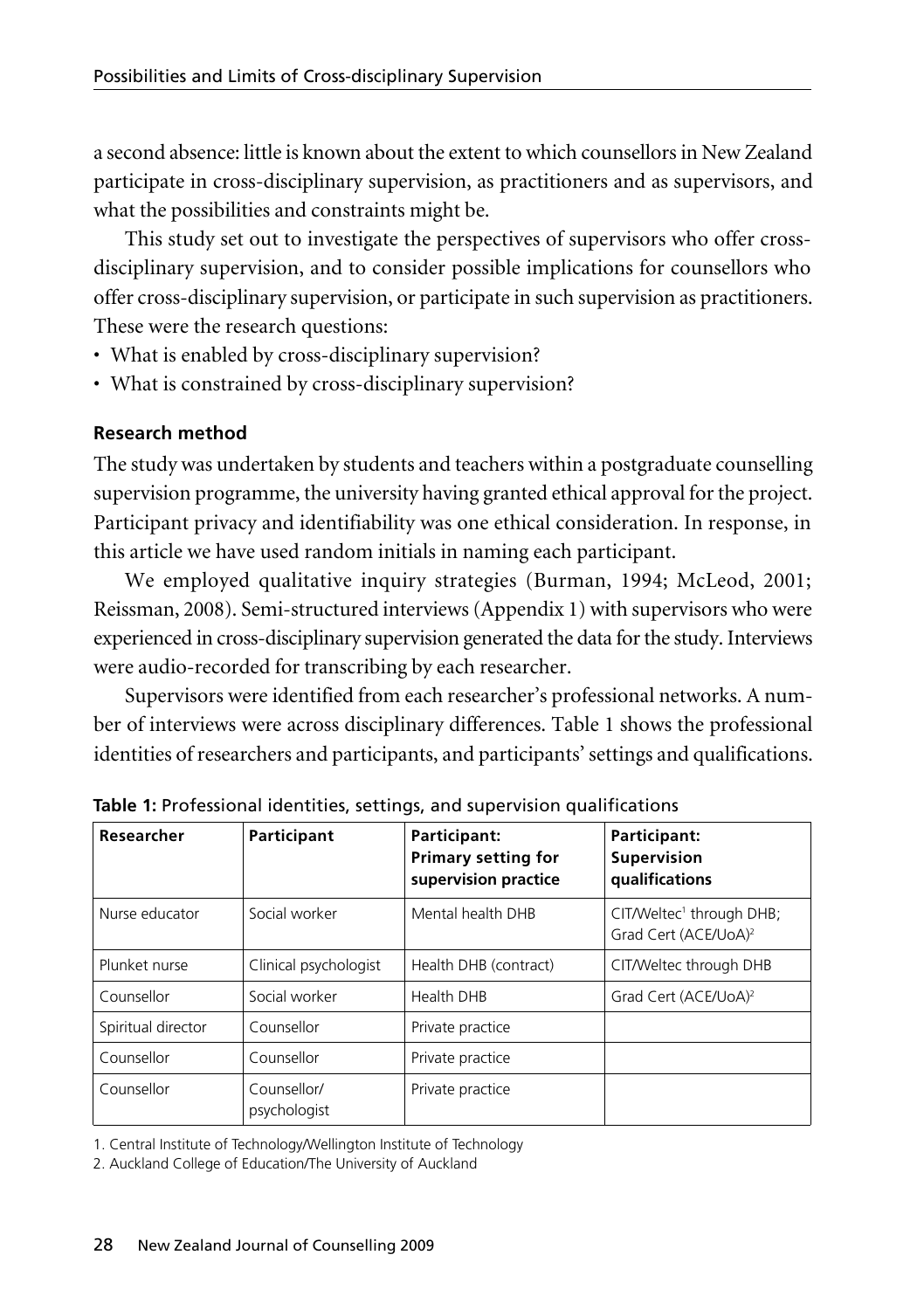a second absence: little is known about the extent to which counsellors in New Zealand participate in cross-disciplinary supervision, as practitioners and as supervisors, and what the possibilities and constraints might be.

This study set out to investigate the perspectives of supervisors who offer crossdisciplinary supervision, and to consider possible implications for counsellors who offer cross-disciplinary supervision, or participate in such supervision as practitioners. These were the research questions:

- What is enabled by cross-disciplinary supervision?
- What is constrained by cross-disciplinary supervision?

## **Research method**

The study was undertaken by students and teachers within a postgraduate counselling supervision programme, the university having granted ethical approval for the project. Participant privacy and identifiability was one ethical consideration. In response, in this article we have used random initials in naming each participant.

We employed qualitative inquiry strategies (Burman, 1994; McLeod, 2001; Reissman, 2008). Semi-structured interviews (Appendix 1) with supervisors who were experienced in cross-disciplinary supervision generated the data for the study. Interviews were audio-recorded for transcribing by each researcher.

Supervisors were identified from each researcher's professional networks. A number of interviews were across disciplinary differences. Table 1 shows the professional identities of researchers and participants, and participants' settings and qualifications.

| Researcher         | Participant                 | Participant:<br><b>Primary setting for</b><br>supervision practice | Participant:<br>Supervision<br>qualifications                            |
|--------------------|-----------------------------|--------------------------------------------------------------------|--------------------------------------------------------------------------|
| Nurse educator     | Social worker               | Mental health DHB                                                  | CIT/Weltec <sup>1</sup> through DHB;<br>Grad Cert (ACE/UoA) <sup>2</sup> |
| Plunket nurse      | Clinical psychologist       | Health DHB (contract)                                              | CIT/Weltec through DHB                                                   |
| Counsellor         | Social worker               | Health DHB                                                         | Grad Cert (ACE/UoA) <sup>2</sup>                                         |
| Spiritual director | Counsellor                  | Private practice                                                   |                                                                          |
| Counsellor         | Counsellor                  | Private practice                                                   |                                                                          |
| Counsellor         | Counsellor/<br>psychologist | Private practice                                                   |                                                                          |

**Table 1:** Professional identities, settings, and supervision qualifications

1. Central Institute of Technology/Wellington Institute of Technology

2. Auckland College of Education/The University of Auckland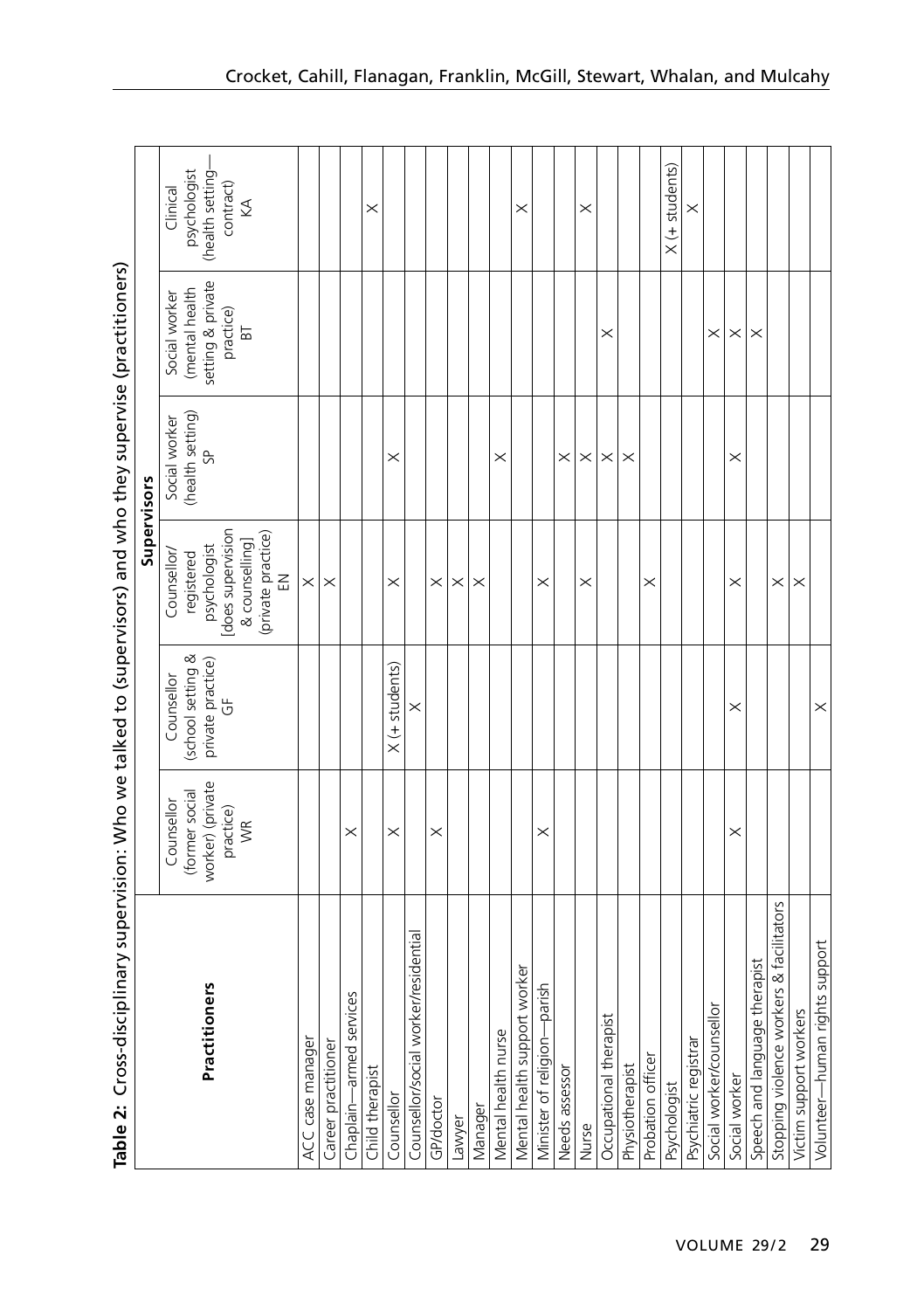| <b>/clairのinsulater Acis Dela Maris Dires Mira /classing Acis Daysing Des Dires in Acis Days Minimalisch code Des Hammers (2011)</b> |                              |                                 |                                    |                                   |                                 |                          |
|--------------------------------------------------------------------------------------------------------------------------------------|------------------------------|---------------------------------|------------------------------------|-----------------------------------|---------------------------------|--------------------------|
|                                                                                                                                      |                              |                                 | Supervisors                        |                                   |                                 |                          |
|                                                                                                                                      | (former social<br>Counsellor | (school setting &<br>Counsellor | Counsellor/<br>registered          | (health setting)<br>Social worker | (mental health<br>Social worker | psychologist<br>Clinical |
| Practitioners                                                                                                                        | worker) (private             | private practice)               | psychologist                       | 9                                 | setting & private               | (health setting-         |
|                                                                                                                                      | practice)<br>WR              | $\overline{5}$                  | does supervision<br>& counselling] |                                   | practice)<br>$\overline{B}$     | contract)<br>₹           |
|                                                                                                                                      |                              |                                 |                                    |                                   |                                 |                          |
|                                                                                                                                      |                              |                                 | (private practice)<br>EN           |                                   |                                 |                          |
| ACC case manager                                                                                                                     |                              |                                 | $\times$                           |                                   |                                 |                          |
| Career practitioner                                                                                                                  |                              |                                 | $\times$                           |                                   |                                 |                          |
| Chaplain-armed services                                                                                                              | $\times$                     |                                 |                                    |                                   |                                 |                          |
| Child therapist                                                                                                                      |                              |                                 |                                    |                                   |                                 | $\times$                 |
| Counsellor                                                                                                                           | $\times$                     | $X$ (+ students)                | $\times$                           | $\times$                          |                                 |                          |
| Counsellor/social worker/residential                                                                                                 |                              | $\times$                        |                                    |                                   |                                 |                          |
| GP/doctor                                                                                                                            | $\times$                     |                                 | $\times$                           |                                   |                                 |                          |
| Lawyer                                                                                                                               |                              |                                 | $\times$                           |                                   |                                 |                          |
| Manager                                                                                                                              |                              |                                 | $\times$                           |                                   |                                 |                          |
| Mental health nurse                                                                                                                  |                              |                                 |                                    | $\times$                          |                                 |                          |
| Mental health support worker                                                                                                         |                              |                                 |                                    |                                   |                                 | $\times$                 |
| Minister of religion-parish                                                                                                          | $\times$                     |                                 | $\times$                           |                                   |                                 |                          |
| Needs assessor                                                                                                                       |                              |                                 |                                    | $\times$                          |                                 |                          |
| Nurse                                                                                                                                |                              |                                 | $\times$                           | $\times$                          |                                 | $\times$                 |
| Occupational therapist                                                                                                               |                              |                                 |                                    | $\times$                          | $\times$                        |                          |
| Physiotherapist                                                                                                                      |                              |                                 |                                    | $\times$                          |                                 |                          |
| Probation officer                                                                                                                    |                              |                                 | $\times$                           |                                   |                                 |                          |
| Psychologist                                                                                                                         |                              |                                 |                                    |                                   |                                 | $X$ (+ students)         |
| Psychiatric registrar                                                                                                                |                              |                                 |                                    |                                   |                                 | $\times$                 |
| Social worker/counsellor                                                                                                             |                              |                                 |                                    |                                   | $\times$                        |                          |
| Social worker                                                                                                                        | $\times$                     | ×                               | $\times$                           | $\times$                          | $\times$                        |                          |
| Speech and language therapist                                                                                                        |                              |                                 |                                    |                                   | $\times$                        |                          |
| Stopping violence workers & facilitators                                                                                             |                              |                                 | $\times$                           |                                   |                                 |                          |
| Victim support workers                                                                                                               |                              |                                 | $\times$                           |                                   |                                 |                          |
| Volunteer-human rights support                                                                                                       |                              | $\times$                        |                                    |                                   |                                 |                          |

Table 2: Cross-disciplinary supervision: Who we talked to (supervisors) and who they supervise (practitioners) **Table 2:** Cross-disciplinary supervision: Who we talked to (supervisors) and who they supervise (practitioners)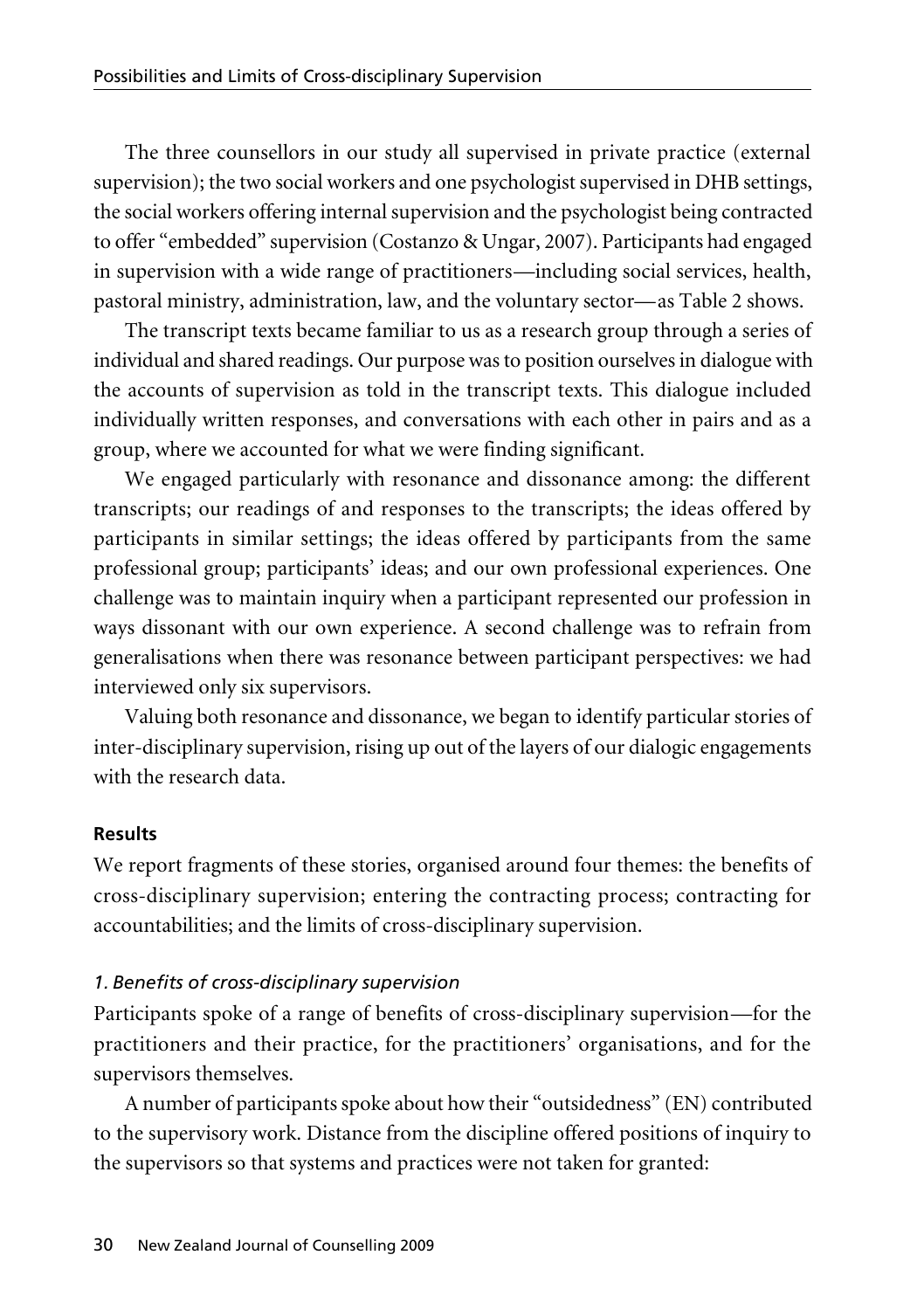The three counsellors in our study all supervised in private practice (external supervision); the two social workers and one psychologist supervised in DHB settings, the social workers offering internal supervision and the psychologist being contracted to offer "embedded" supervision (Costanzo & Ungar, 2007). Participants had engaged in supervision with a wide range of practitioners—including social services, health, pastoral ministry, administration, law, and the voluntary sector—as Table 2 shows.

The transcript texts became familiar to us as a research group through a series of individual and shared readings. Our purpose was to position ourselves in dialogue with the accounts of supervision as told in the transcript texts. This dialogue included individually written responses, and conversations with each other in pairs and as a group, where we accounted for what we were finding significant.

We engaged particularly with resonance and dissonance among: the different transcripts; our readings of and responses to the transcripts; the ideas offered by participants in similar settings; the ideas offered by participants from the same professional group; participants' ideas; and our own professional experiences. One challenge was to maintain inquiry when a participant represented our profession in ways dissonant with our own experience. A second challenge was to refrain from generalisations when there was resonance between participant perspectives: we had interviewed only six supervisors.

Valuing both resonance and dissonance, we began to identify particular stories of inter-disciplinary supervision, rising up out of the layers of our dialogic engagements with the research data.

#### **Results**

We report fragments of these stories, organised around four themes: the benefits of cross-disciplinary supervision; entering the contracting process; contracting for accountabilities; and the limits of cross-disciplinary supervision.

#### *1. Benefits of cross-disciplinary supervision*

Participants spoke of a range of benefits of cross-disciplinary supervision—for the practitioners and their practice, for the practitioners' organisations, and for the supervisors themselves.

A number of participants spoke about how their "outsidedness" (EN) contributed to the supervisory work. Distance from the discipline offered positions of inquiry to the supervisors so that systems and practices were not taken for granted: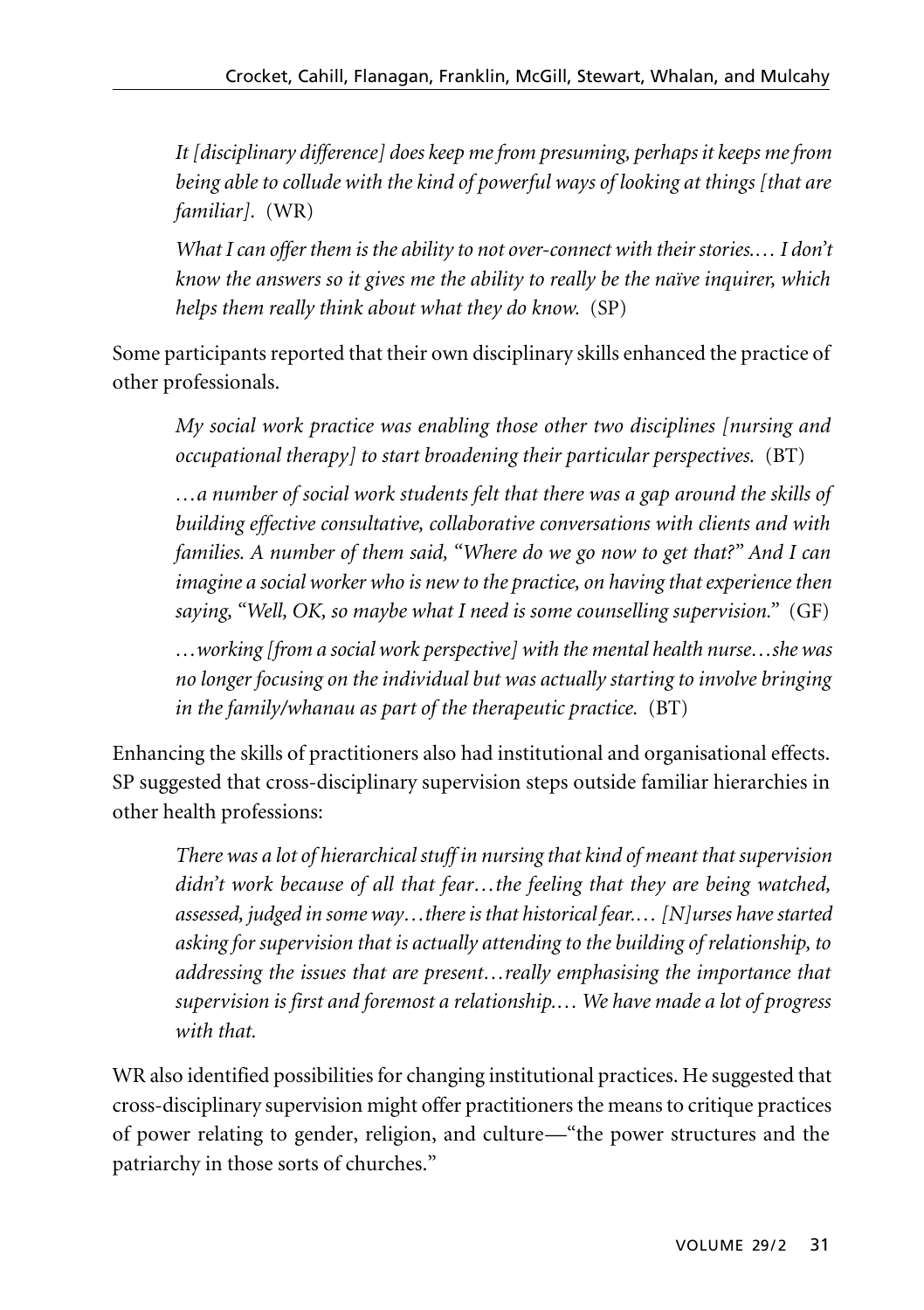*It [disciplinary difference] does keep me from presuming, perhaps it keeps me from being able to collude with the kind of powerful ways of looking at things [that are familiar].* (WR)

*What I can offer them is the ability to not over-connect with their stories.… I don't know the answers so it gives me the ability to really be the naïve inquirer, which helps them really think about what they do know.* (SP)

Some participants reported that their own disciplinary skills enhanced the practice of other professionals.

*My social work practice was enabling those other two disciplines [nursing and occupational therapy] to start broadening their particular perspectives.* (BT)

*…a number of social work students felt that there was a gap around the skills of building effective consultative, collaborative conversations with clients and with families. A number of them said, "Where do we go now to get that?" And I can imagine a social worker who is new to the practice, on having that experience then saying, "Well, OK, so maybe what I need is some counselling supervision."* (GF)

*…working [from a social work perspective] with the mental health nurse…she was no longer focusing on the individual but was actually starting to involve bringing in the family/whanau as part of the therapeutic practice.* (BT)

Enhancing the skills of practitioners also had institutional and organisational effects. SP suggested that cross-disciplinary supervision steps outside familiar hierarchies in other health professions:

*There was a lot of hierarchical stuff in nursing that kind of meant that supervision didn't work because of all that fear…the feeling that they are being watched, assessed, judged in some way…there is that historical fear.… [N]urses have started asking for supervision that is actually attending to the building of relationship, to addressing the issues that are present…really emphasising the importance that supervision is first and foremost a relationship.… We have made a lot of progress with that.* 

WR also identified possibilities for changing institutional practices. He suggested that cross-disciplinary supervision might offer practitioners the means to critique practices of power relating to gender, religion, and culture—"the power structures and the patriarchy in those sorts of churches."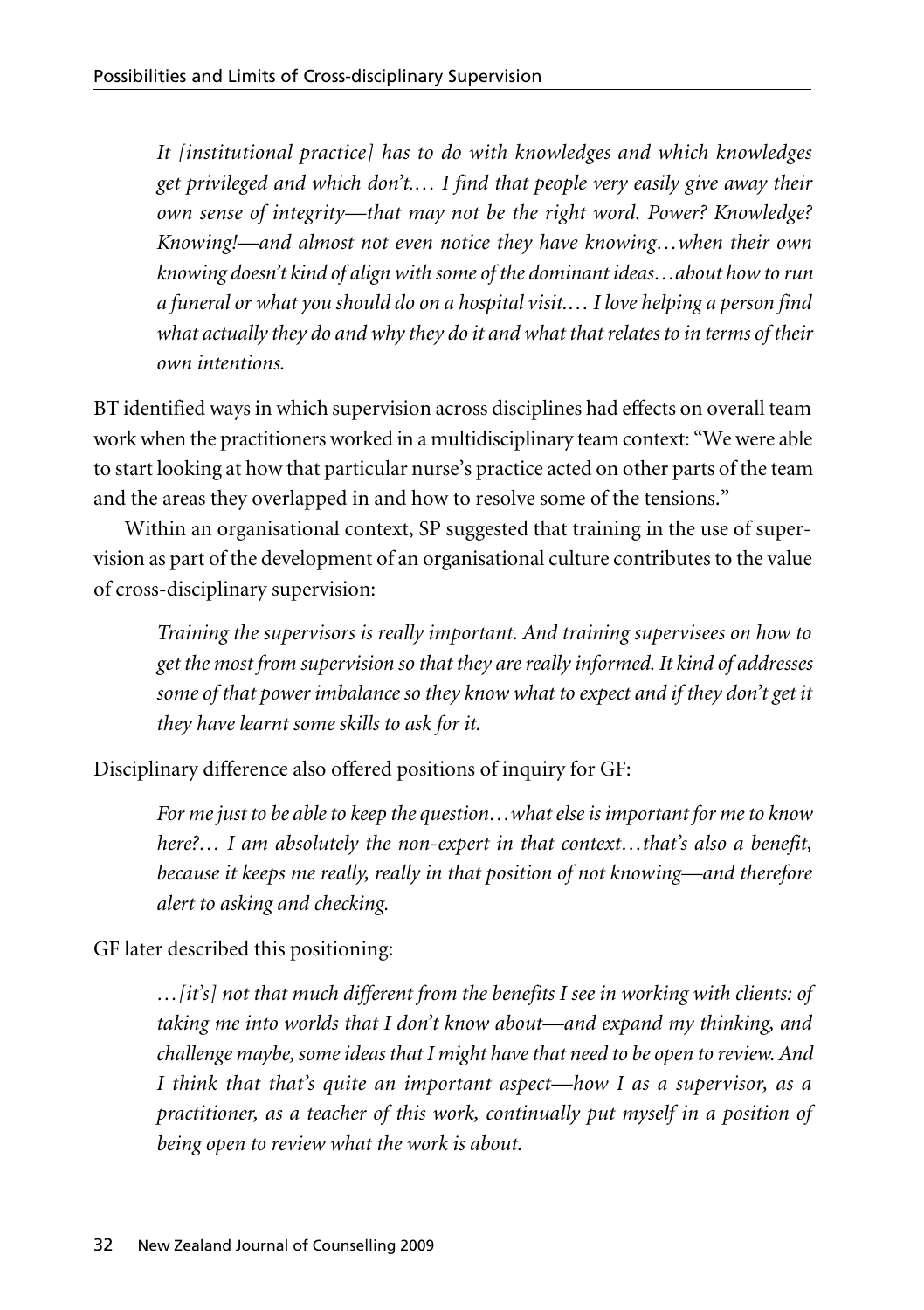*It [institutional practice] has to do with knowledges and which knowledges get privileged and which don't.… I find that people very easily give away their own sense of integrity—that may not be the right word. Power? Knowledge? Knowing!—and almost not even notice they have knowing…when their own knowing doesn't kind of align with some of the dominant ideas…about how to run a funeral or what you should do on a hospital visit.… I love helping a person find what actually they do and why they do it and what that relates to in terms of their own intentions.*

BT identified ways in which supervision across disciplines had effects on overall team work when the practitioners worked in a multidisciplinary team context: "We were able to start looking at how that particular nurse's practice acted on other parts of the team and the areas they overlapped in and how to resolve some of the tensions."

Within an organisational context, SP suggested that training in the use of supervision as part of the development of an organisational culture contributes to the value of cross-disciplinary supervision:

*Training the supervisors is really important. And training supervisees on how to get the most from supervision so that they are really informed. It kind of addresses some of that power imbalance so they know what to expect and if they don't get it they have learnt some skills to ask for it.*

Disciplinary difference also offered positions of inquiry for GF:

*For me just to be able to keep the question…what else is important for me to know here?… I am absolutely the non-expert in that context…that's also a benefit, because it keeps me really, really in that position of not knowing—and therefore alert to asking and checking.*

GF later described this positioning:

*…[it's] not that much different from the benefits I see in working with clients: of taking me into worlds that I don't know about—and expand my thinking, and challenge maybe, some ideas that I might have that need to be open to review. And I think that that's quite an important aspect—how I as a supervisor, as a practitioner, as a teacher of this work, continually put myself in a position of being open to review what the work is about.*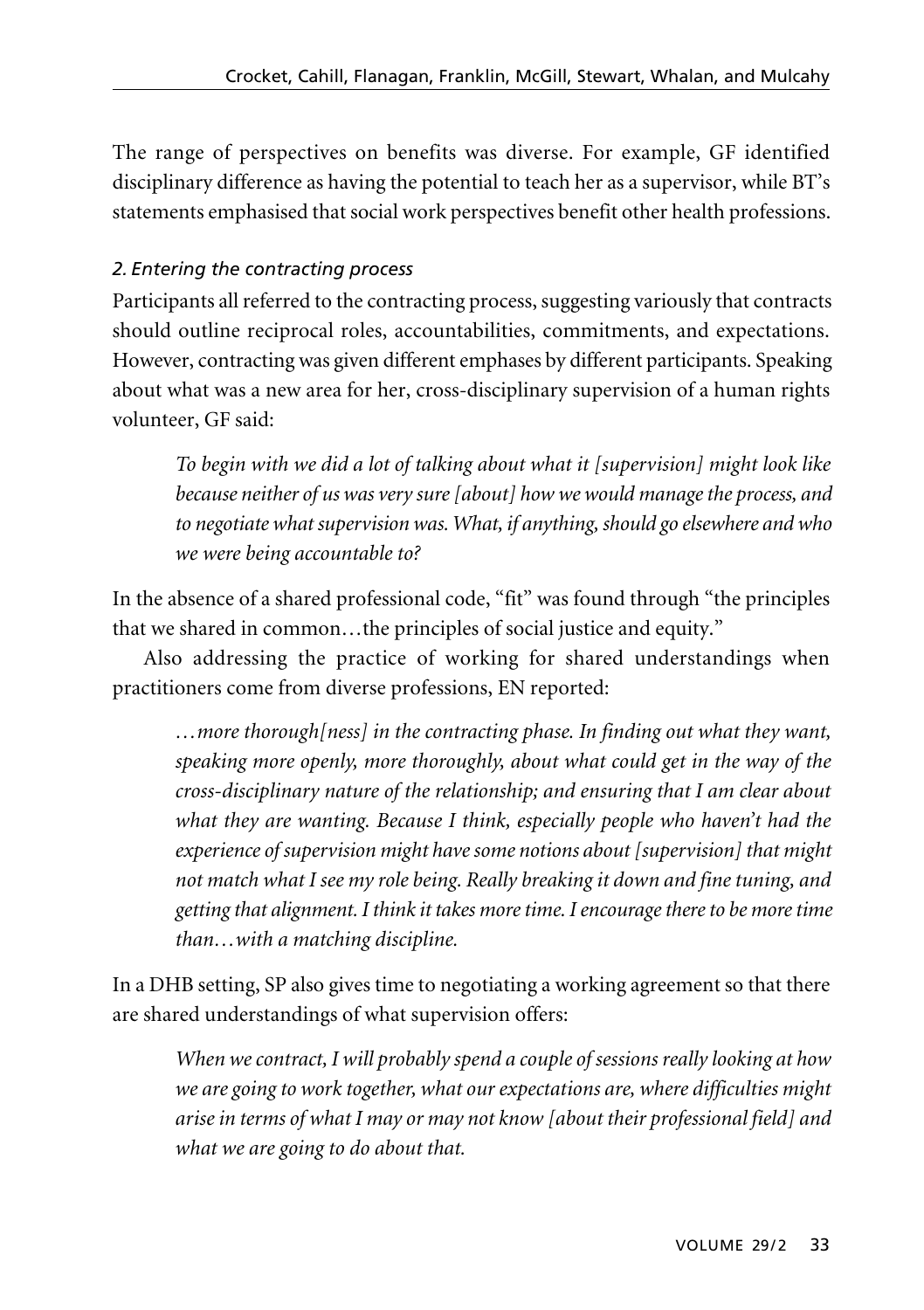The range of perspectives on benefits was diverse. For example, GF identified disciplinary difference as having the potential to teach her as a supervisor, while BT's statements emphasised that social work perspectives benefit other health professions.

## *2. Entering the contracting process*

Participants all referred to the contracting process, suggesting variously that contracts should outline reciprocal roles, accountabilities, commitments, and expectations. However, contracting was given different emphases by different participants. Speaking about what was a new area for her, cross-disciplinary supervision of a human rights volunteer, GF said:

*To begin with we did a lot of talking about what it [supervision] might look like because neither of us was very sure [about] how we would manage the process, and to negotiate what supervision was. What, if anything, should go elsewhere and who we were being accountable to?*

In the absence of a shared professional code, "fit" was found through "the principles that we shared in common…the principles of social justice and equity."

Also addressing the practice of working for shared understandings when practitioners come from diverse professions, EN reported:

*…more thorough[ness] in the contracting phase. In finding out what they want, speaking more openly, more thoroughly, about what could get in the way of the cross-disciplinary nature of the relationship; and ensuring that I am clear about what they are wanting. Because I think, especially people who haven't had the experience of supervision might have some notions about [supervision] that might not match what I see my role being. Really breaking it down and fine tuning, and getting that alignment. I think it takes more time. I encourage there to be more time than…with a matching discipline.*

In a DHB setting, SP also gives time to negotiating a working agreement so that there are shared understandings of what supervision offers:

*When we contract, I will probably spend a couple of sessions really looking at how we are going to work together, what our expectations are, where difficulties might arise in terms of what I may or may not know [about their professional field] and what we are going to do about that.*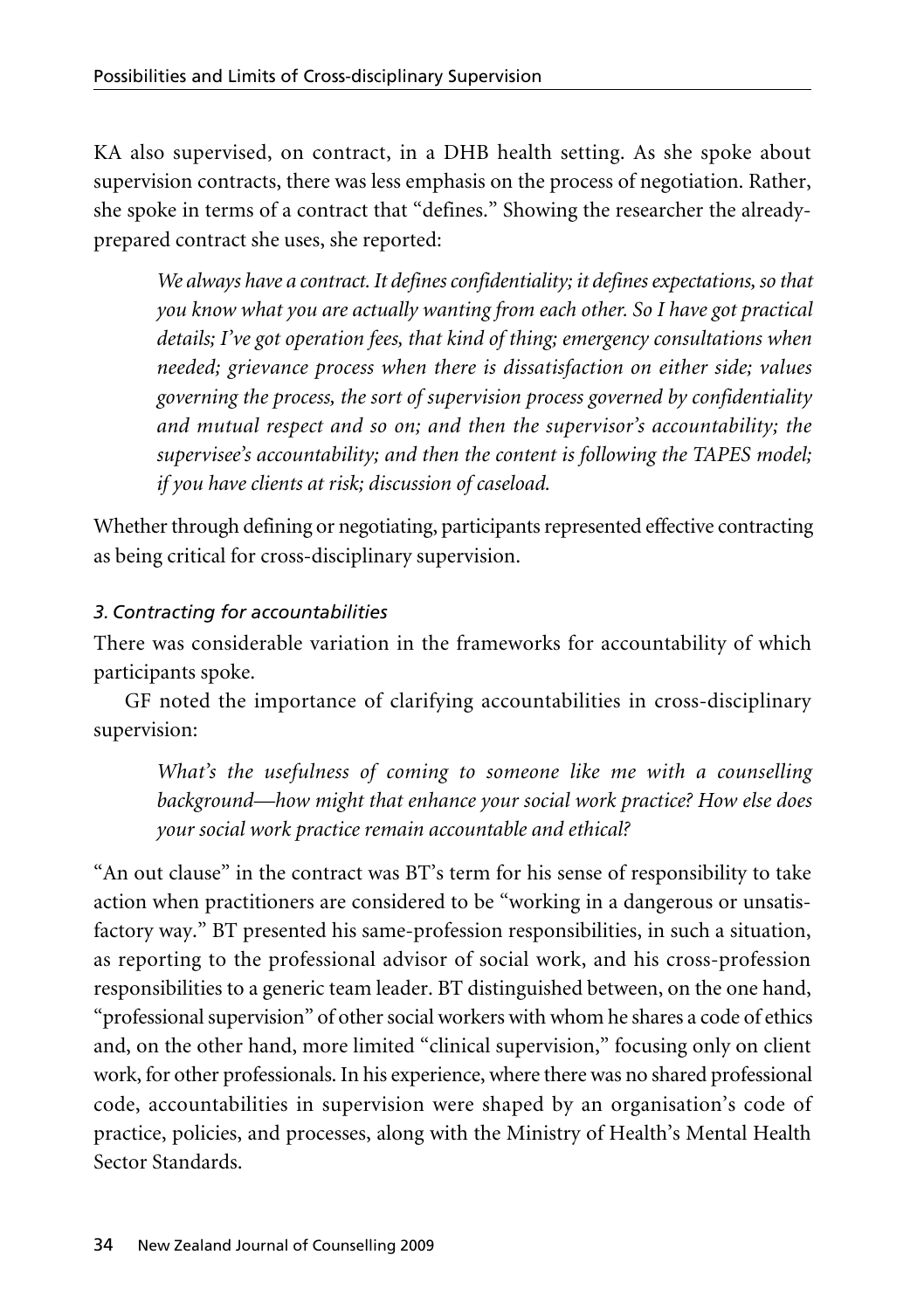KA also supervised, on contract, in a DHB health setting. As she spoke about supervision contracts, there was less emphasis on the process of negotiation. Rather, she spoke in terms of a contract that "defines." Showing the researcher the alreadyprepared contract she uses, she reported:

*We always have a contract. It defines confidentiality; it defines expectations, so that you know what you are actually wanting from each other. So I have got practical details; I've got operation fees, that kind of thing; emergency consultations when needed; grievance process when there is dissatisfaction on either side; values governing the process, the sort of supervision process governed by confidentiality and mutual respect and so on; and then the supervisor's accountability; the supervisee's accountability; and then the content is following the TAPES model; if you have clients at risk; discussion of caseload.*

Whether through defining or negotiating, participants represented effective contracting as being critical for cross-disciplinary supervision.

# *3. Contracting for accountabilities*

There was considerable variation in the frameworks for accountability of which participants spoke.

GF noted the importance of clarifying accountabilities in cross-disciplinary supervision:

*What's the usefulness of coming to someone like me with a counselling background—how might that enhance your social work practice? How else does your social work practice remain accountable and ethical?*

"An out clause" in the contract was BT's term for his sense of responsibility to take action when practitioners are considered to be "working in a dangerous or unsatis factory way." BT presented his same-profession responsibilities, in such a situation, as reporting to the professional advisor of social work, and his cross-profession responsibilities to a generic team leader. BT distinguished between, on the one hand, "professional supervision" of other social workers with whom he shares a code of ethics and, on the other hand, more limited "clinical supervision," focusing only on client work, for other professionals. In his experience, where there was no shared professional code, accountabilities in supervision were shaped by an organisation's code of practice, policies, and processes, along with the Ministry of Health's Mental Health Sector Standards.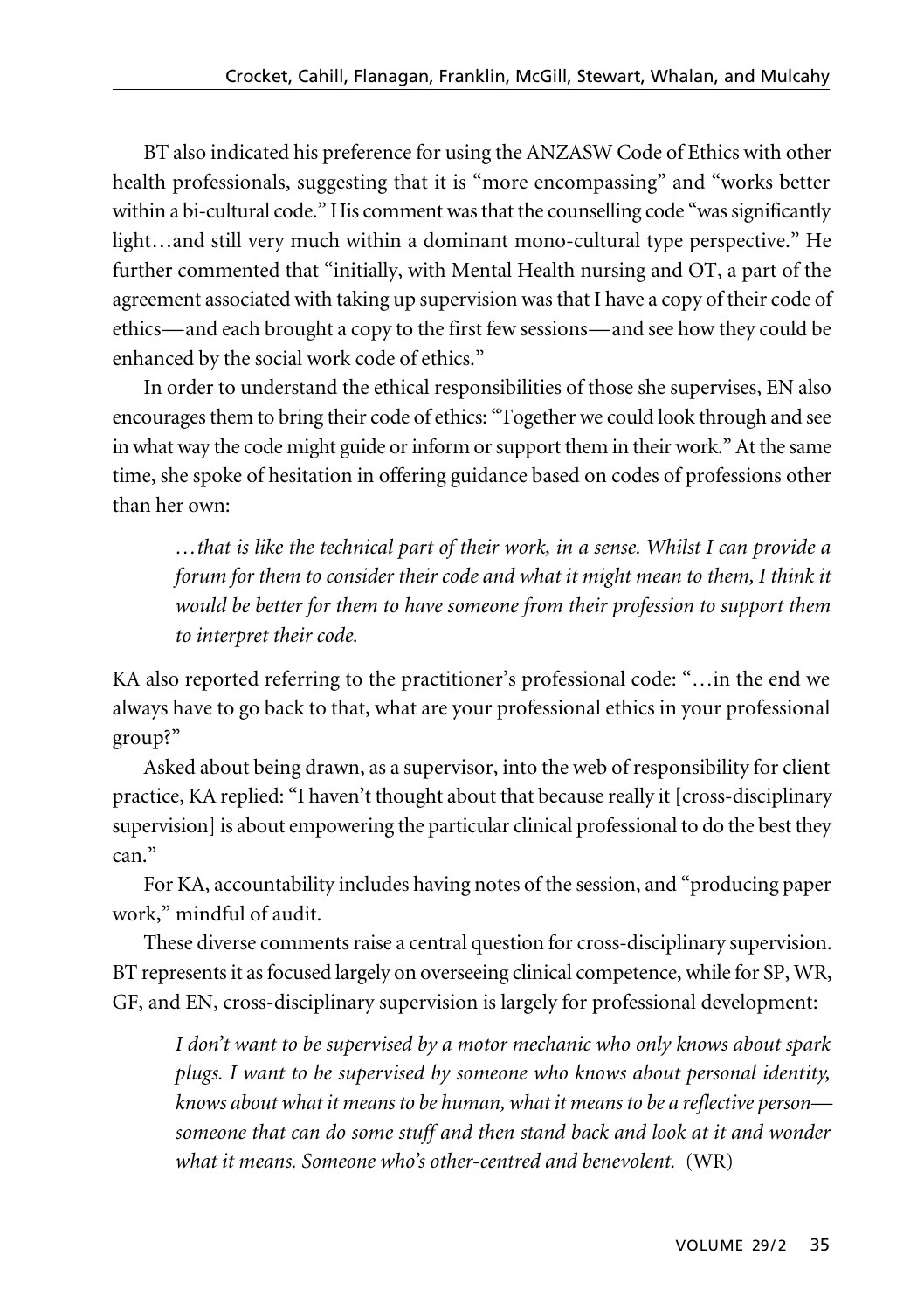BT also indicated his preference for using the ANZASW Code of Ethics with other health professionals, suggesting that it is "more encompassing" and "works better within a bi-cultural code." His comment was that the counselling code "was significantly light…and still very much within a dominant mono-cultural type perspective." He further commented that "initially, with Mental Health nursing and OT, a part of the agreement associated with taking up supervision was that I have a copy of their code of ethics—and each brought a copy to the first few sessions—and see how they could be enhanced by the social work code of ethics."

In order to understand the ethical responsibilities of those she supervises, EN also encourages them to bring their code of ethics: "Together we could look through and see in what way the code might guide or inform or support them in their work." At the same time, she spoke of hesitation in offering guidance based on codes of professions other than her own:

*…that is like the technical part of their work, in a sense. Whilst I can provide a forum for them to consider their code and what it might mean to them, I think it would be better for them to have someone from their profession to support them to interpret their code.* 

KA also reported referring to the practitioner's professional code: "…in the end we always have to go back to that, what are your professional ethics in your professional group?"

Asked about being drawn, as a supervisor, into the web of responsibility for client practice, KA replied: "I haven't thought about that because really it [cross-disciplinary supervision] is about empowering the particular clinical professional to do the best they can."

For KA, accountability includes having notes of the session, and "producing paper work," mindful of audit.

These diverse comments raise a central question for cross-disciplinary supervision. BT represents it as focused largely on overseeing clinical competence, while for SP, WR, GF, and EN, cross-disciplinary supervision is largely for professional development:

*I don't want to be supervised by a motor mechanic who only knows about spark plugs. I want to be supervised by someone who knows about personal identity, knows about what it means to be human, what it means to be a reflective person someone that can do some stuff and then stand back and look at it and wonder what it means. Someone who's other-centred and benevolent.* (WR)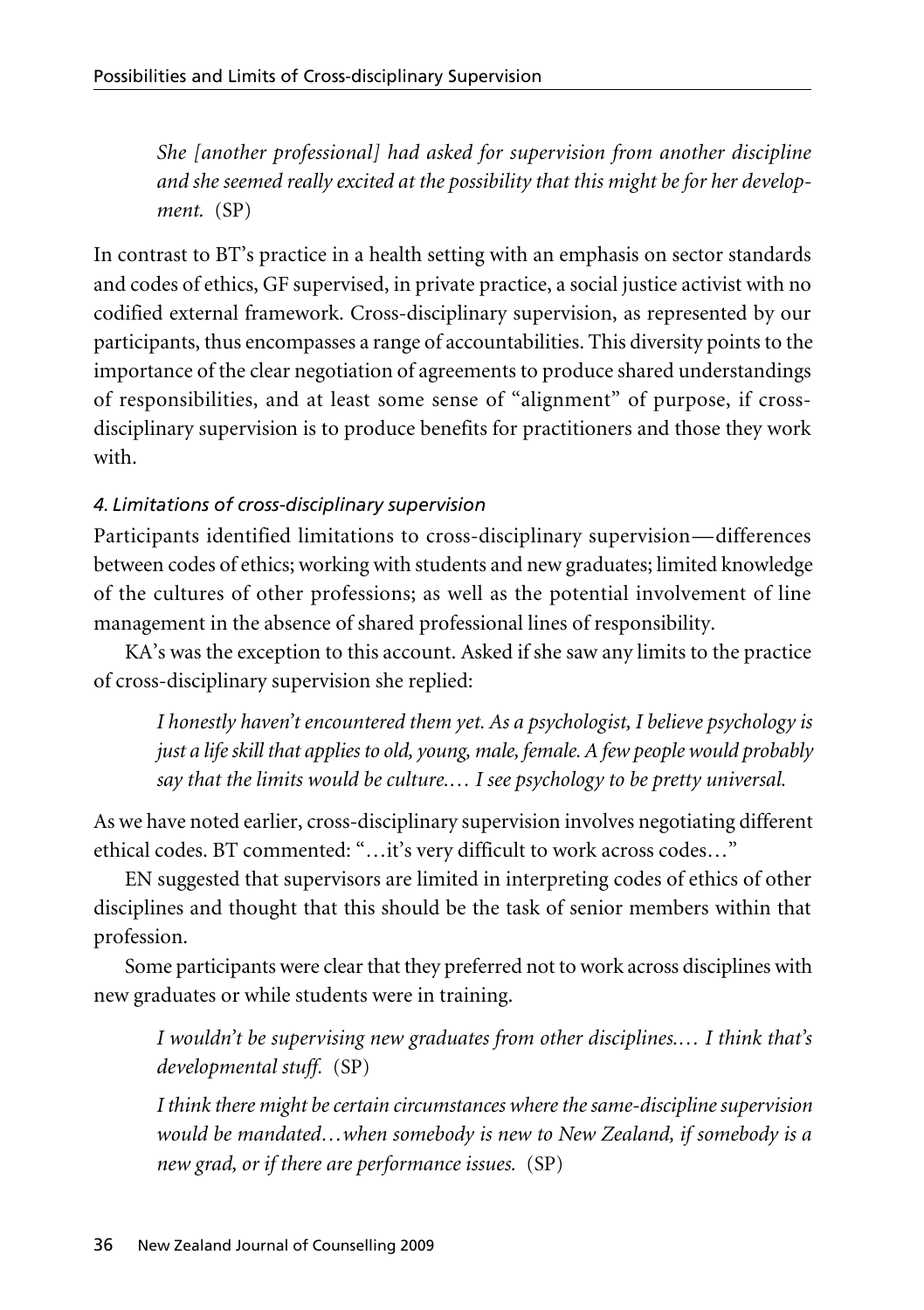*She [another professional] had asked for supervision from another discipline and she seemed really excited at the possibility that this might be for her develop ment.* (SP)

In contrast to BT's practice in a health setting with an emphasis on sector standards and codes of ethics, GF supervised, in private practice, a social justice activist with no codified external framework. Cross-disciplinary supervision, as represented by our participants, thus encompasses a range of accountabilities. This diversity points to the importance of the clear negotiation of agreements to produce shared understandings of responsibilities, and at least some sense of "alignment" of purpose, if crossdisciplinary supervision is to produce benefits for practitioners and those they work with.

# *4. Limitations of cross-disciplinary supervision*

Participants identified limitations to cross-disciplinary supervision—differences between codes of ethics; working with students and new graduates; limited knowledge of the cultures of other professions; as well as the potential involvement of line management in the absence of shared professional lines of responsibility.

KA's was the exception to this account. Asked if she saw any limits to the practice of cross-disciplinary supervision she replied:

*I honestly haven't encountered them yet. As a psychologist, I believe psychology is just a life skill that applies to old, young, male, female. A few people would probably say that the limits would be culture.… I see psychology to be pretty universal.* 

As we have noted earlier, cross-disciplinary supervision involves negotiating different ethical codes. BT commented: "…it's very difficult to work across codes…"

EN suggested that supervisors are limited in interpreting codes of ethics of other disciplines and thought that this should be the task of senior members within that profession.

Some participants were clear that they preferred not to work across disciplines with new graduates or while students were in training.

*I wouldn't be supervising new graduates from other disciplines.… I think that's developmental stuff.* (SP)

*I think there might be certain circumstances where the same-discipline supervision would be mandated…when somebody is new to New Zealand, if somebody is a new grad, or if there are performance issues.* (SP)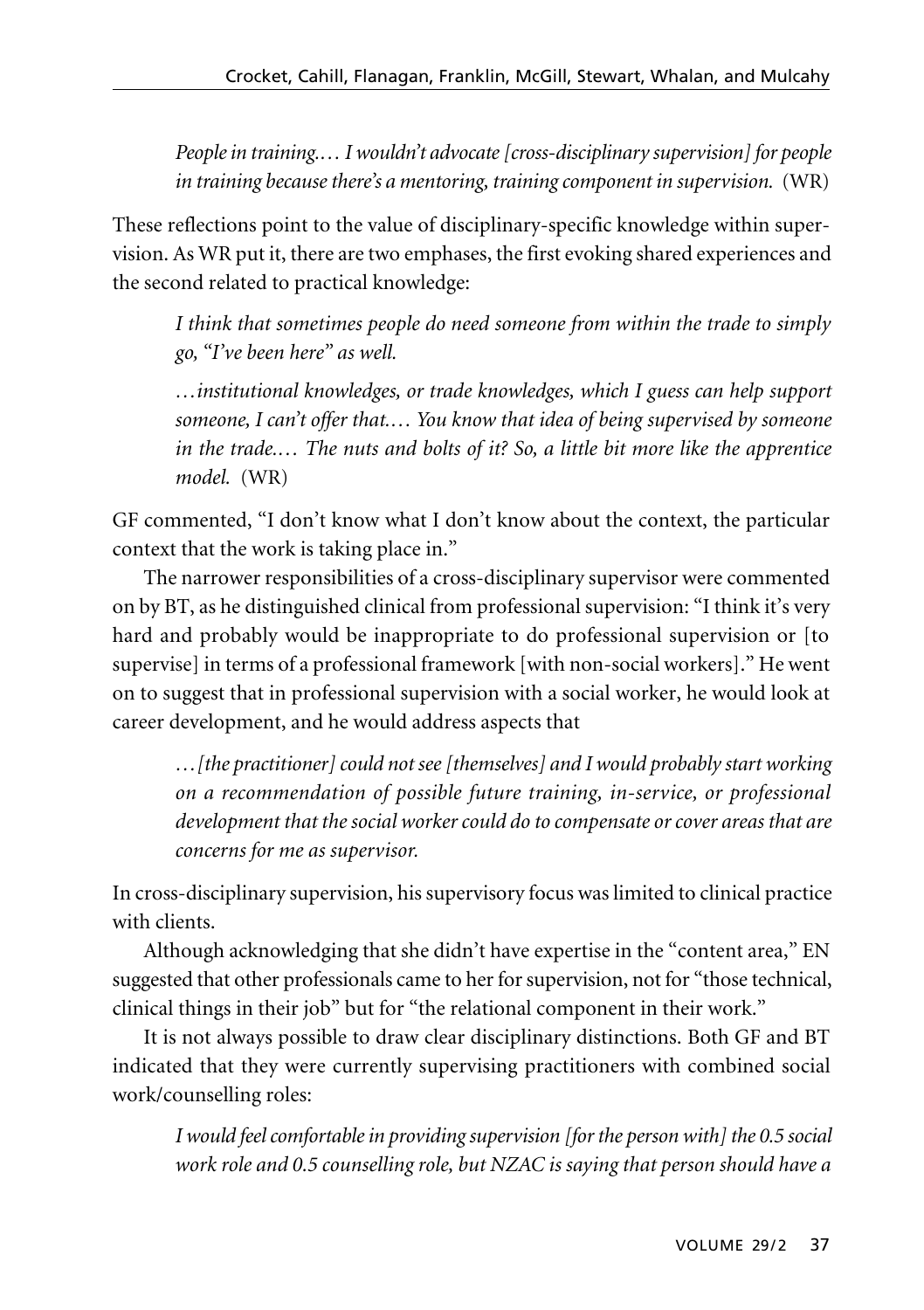*People in training.… I wouldn't advocate [cross-disciplinary supervision] for people in training because there's a mentoring, training component in supervision.* (WR)

These reflections point to the value of disciplinary-specific knowledge within super vision. As WR put it, there are two emphases, the first evoking shared experiences and the second related to practical knowledge:

*I think that sometimes people do need someone from within the trade to simply go, "I've been here" as well.* 

*…institutional knowledges, or trade knowledges, which I guess can help support someone, I can't offer that.… You know that idea of being supervised by someone in the trade.… The nuts and bolts of it? So, a little bit more like the apprentice model.* (WR)

GF commented, "I don't know what I don't know about the context, the particular context that the work is taking place in."

The narrower responsibilities of a cross-disciplinary supervisor were commented on by BT, as he distinguished clinical from professional supervision: "I think it's very hard and probably would be inappropriate to do professional supervision or [to supervise] in terms of a professional framework [with non-social workers]." He went on to suggest that in professional supervision with a social worker, he would look at career development, and he would address aspects that

*…[the practitioner] could not see [themselves] and I would probably start working on a recommendation of possible future training, in-service, or professional development that the social worker could do to compensate or cover areas that are concerns for me as supervisor.* 

In cross-disciplinary supervision, his supervisory focus was limited to clinical practice with clients.

Although acknowledging that she didn't have expertise in the "content area," EN suggested that other professionals came to her for supervision, not for "those technical, clinical things in their job" but for "the relational component in their work."

It is not always possible to draw clear disciplinary distinctions. Both GF and BT indicated that they were currently supervising practitioners with combined social work/counselling roles:

*I would feel comfortable in providing supervision [for the person with] the 0.5 social work role and 0.5 counselling role, but NZAC is saying that person should have a*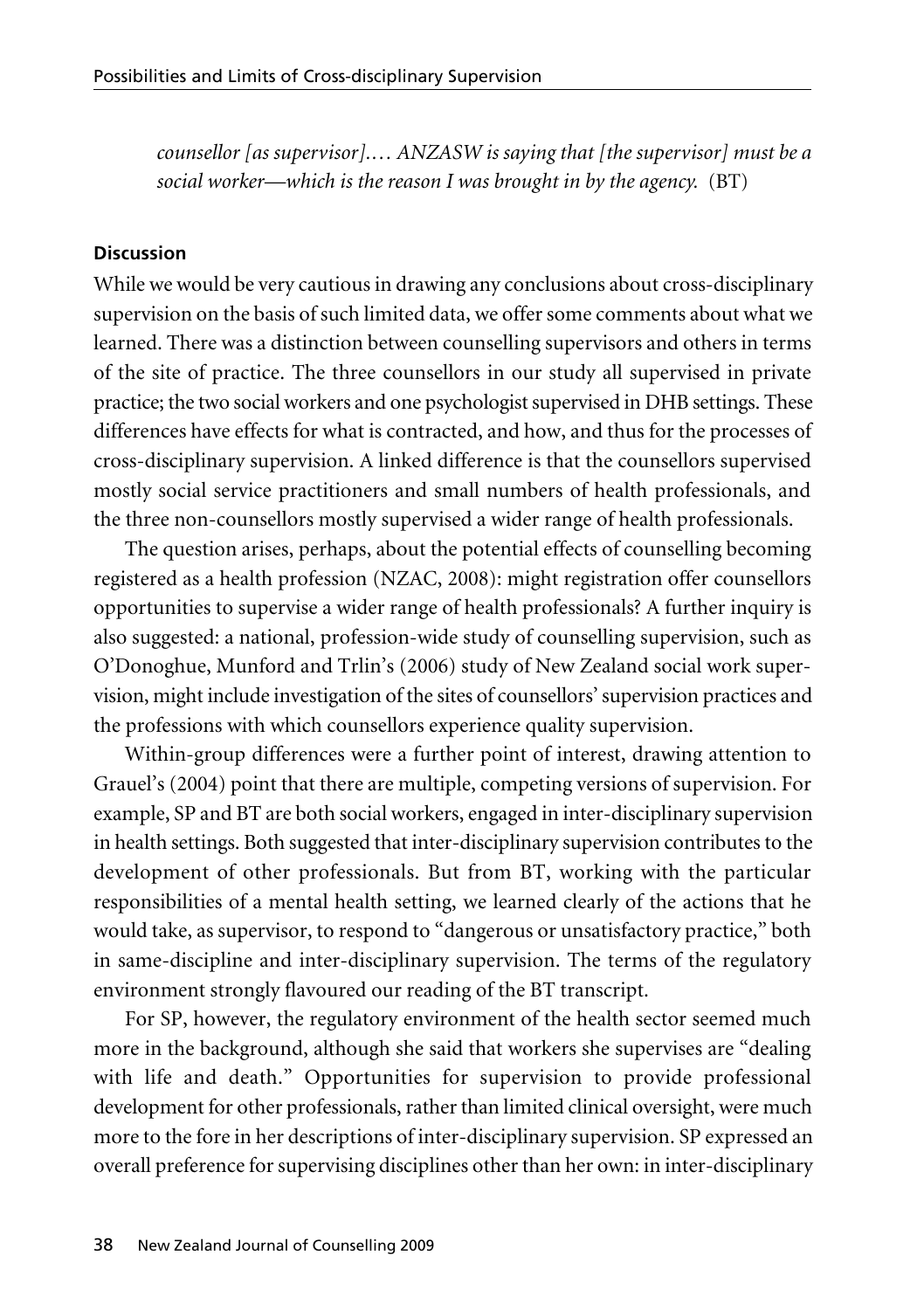*counsellor [as supervisor].… ANZASW is saying that [the supervisor] must be a social worker—which is the reason I was brought in by the agency.* (BT)

#### **Discussion**

While we would be very cautious in drawing any conclusions about cross-disciplinary supervision on the basis of such limited data, we offer some comments about what we learned. There was a distinction between counselling supervisors and others in terms of the site of practice. The three counsellors in our study all supervised in private practice; the two social workers and one psychologist supervised in DHB settings. These differences have effects for what is contracted, and how, and thus for the processes of cross-disciplinary supervision. A linked difference is that the counsellors supervised mostly social service practitioners and small numbers of health professionals, and the three non-counsellors mostly supervised a wider range of health professionals.

The question arises, perhaps, about the potential effects of counselling becoming registered as a health profession (NZAC, 2008): might registration offer counsellors opportunities to supervise a wider range of health professionals? A further inquiry is also suggested: a national, profession-wide study of counselling supervision, such as O'Donoghue, Munford and Trlin's (2006) study of New Zealand social work super vision, might include investigation of the sites of counsellors' supervision practices and the professions with which counsellors experience quality supervision.

Within-group differences were a further point of interest, drawing attention to Grauel's (2004) point that there are multiple, competing versions of supervision. For example, SP and BT are both social workers, engaged in inter-disciplinary supervision in health settings. Both suggested that inter-disciplinary supervision contributes to the development of other professionals. But from BT, working with the particular responsibilities of a mental health setting, we learned clearly of the actions that he would take, as supervisor, to respond to "dangerous or unsatisfactory practice," both in same-discipline and inter-disciplinary supervision. The terms of the regulatory environment strongly flavoured our reading of the BT transcript.

For SP, however, the regulatory environment of the health sector seemed much more in the background, although she said that workers she supervises are "dealing with life and death." Opportunities for supervision to provide professional development for other professionals, rather than limited clinical oversight, were much more to the fore in her descriptions of inter-disciplinary supervision. SP expressed an overall preference for supervising disciplines other than her own: in inter-disciplinary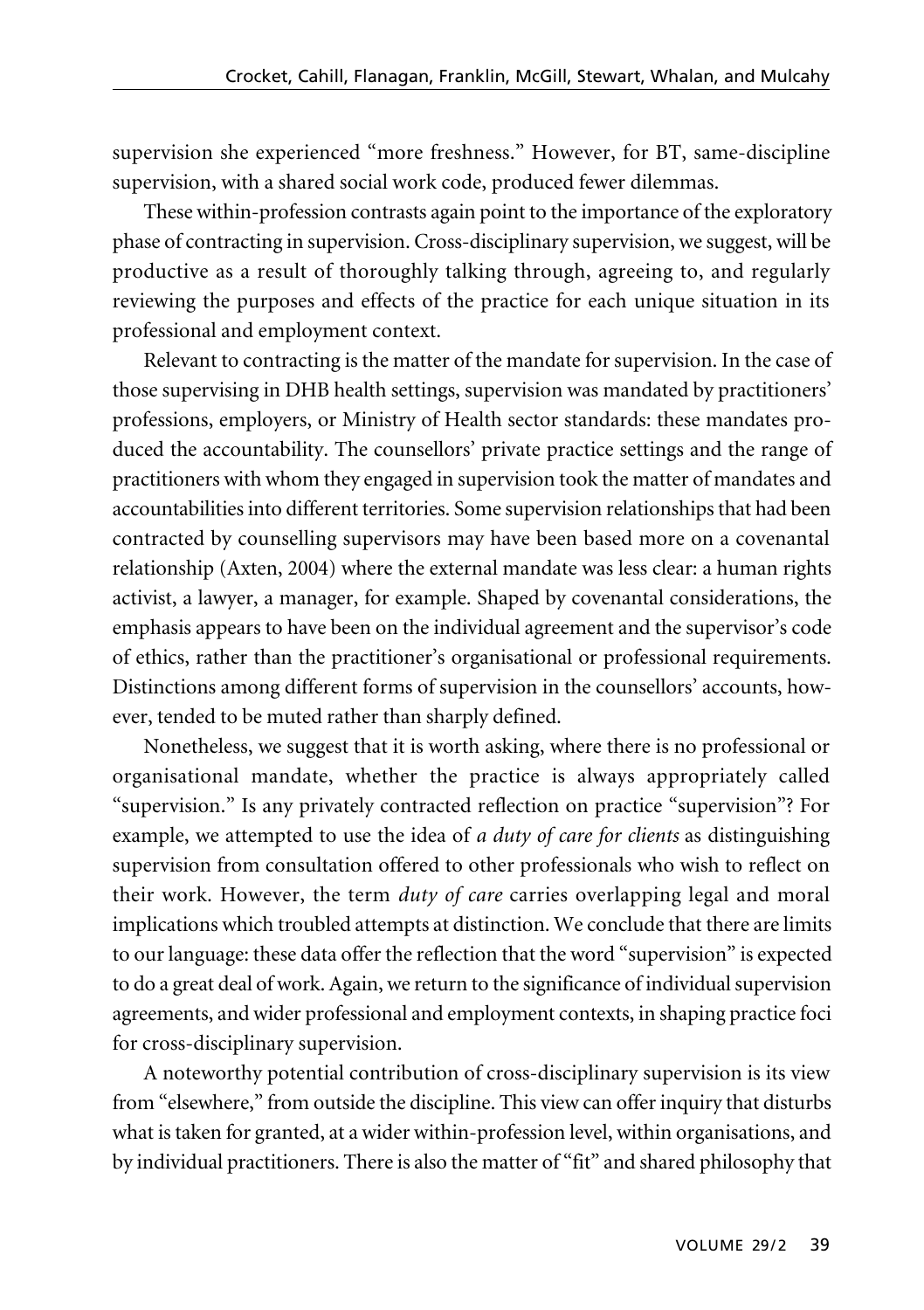supervision she experienced "more freshness." However, for BT, same-discipline supervision, with a shared social work code, produced fewer dilemmas.

These within-profession contrasts again point to the importance of the exploratory phase of contracting in supervision. Cross-disciplinary supervision, we suggest, will be productive as a result of thoroughly talking through, agreeing to, and regularly reviewing the purposes and effects of the practice for each unique situation in its professional and employment context.

Relevant to contracting is the matter of the mandate for supervision. In the case of those supervising in DHB health settings, supervision was mandated by practitioners' professions, employers, or Ministry of Health sector standards: these mandates produced the accountability. The counsellors' private practice settings and the range of practitioners with whom they engaged in supervision took the matter of mandates and accountabilities into different territories. Some supervision relationships that had been contracted by counselling supervisors may have been based more on a covenantal relationship (Axten, 2004) where the external mandate was less clear: a human rights activist, a lawyer, a manager, for example. Shaped by covenantal considerations, the emphasis appears to have been on the individual agreement and the supervisor's code of ethics, rather than the practitioner's organisational or professional requirements. Distinctions among different forms of supervision in the counsellors' accounts, however, tended to be muted rather than sharply defined.

Nonetheless, we suggest that it is worth asking, where there is no professional or organisational mandate, whether the practice is always appropriately called "supervision." Is any privately contracted reflection on practice "supervision"? For example, we attempted to use the idea of *a duty of care for clients* as distinguishing supervision from consultation offered to other professionals who wish to reflect on their work. However, the term *duty of care* carries overlapping legal and moral implications which troubled attempts at distinction. We conclude that there are limits to our language: these data offer the reflection that the word "supervision" is expected to do a great deal of work. Again, we return to the significance of individual supervision agreements, and wider professional and employment contexts, in shaping practice foci for cross-disciplinary supervision.

A noteworthy potential contribution of cross-disciplinary supervision is its view from "elsewhere," from outside the discipline. This view can offer inquiry that disturbs what is taken for granted, at a wider within-profession level, within organisations, and by individual practitioners. There is also the matter of "fit" and shared philosophy that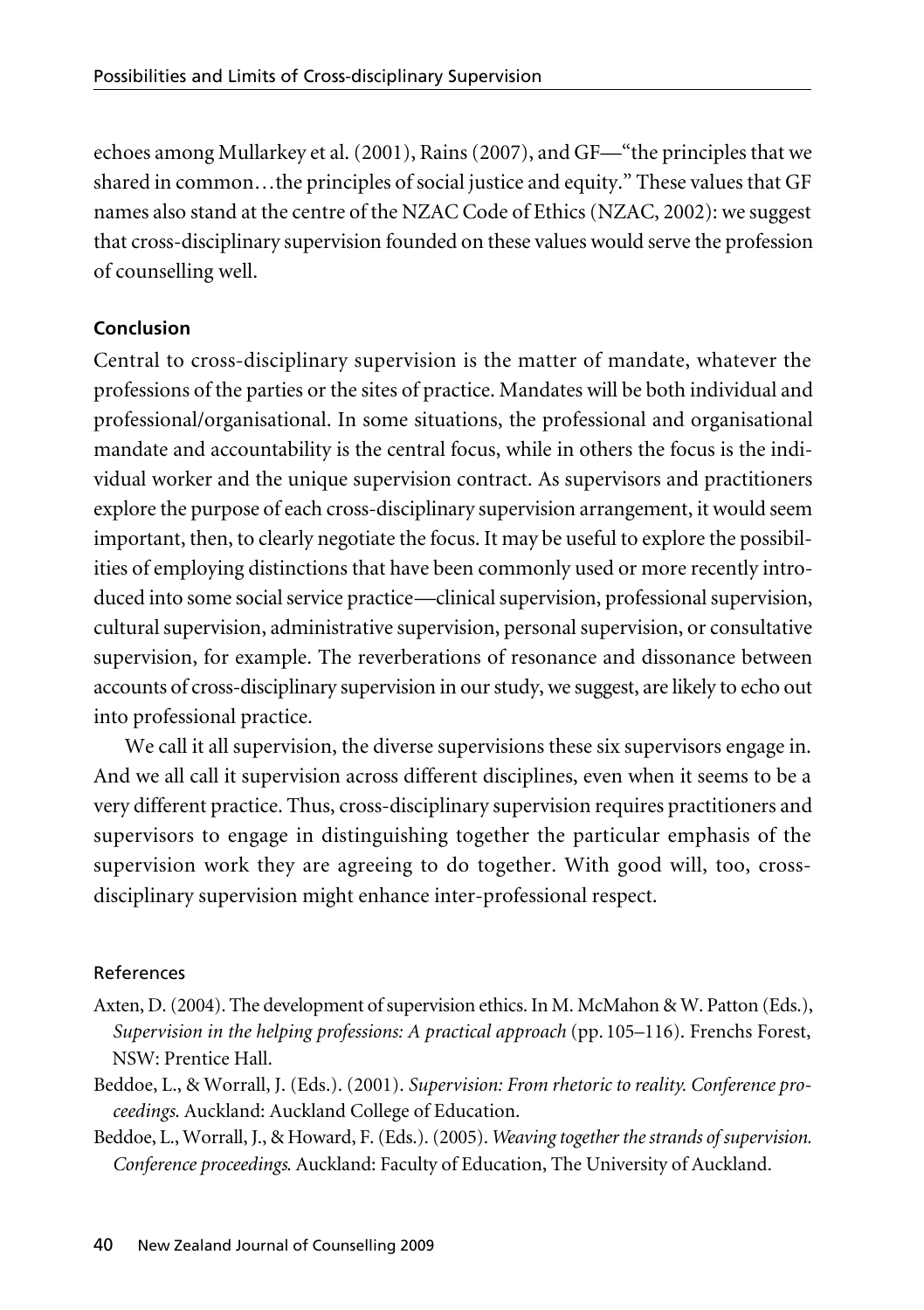echoes among Mullarkey et al. (2001), Rains (2007), and GF—"the principles that we shared in common…the principles of social justice and equity." These values that GF names also stand at the centre of the NZAC Code of Ethics (NZAC, 2002): we suggest that cross-disciplinary supervision founded on these values would serve the profession of counselling well.

## **Conclusion**

Central to cross-disciplinary supervision is the matter of mandate, whatever the professions of the parties or the sites of practice. Mandates will be both individual and professional/organisational. In some situations, the professional and organisational mandate and accountability is the central focus, while in others the focus is the individual worker and the unique supervision contract. As supervisors and practitioners explore the purpose of each cross-disciplinary supervision arrangement, it would seem important, then, to clearly negotiate the focus. It may be useful to explore the possibilities of employing distinctions that have been commonly used or more recently introduced into some social service practice—clinical supervision, professional supervision, cultural supervision, administrative supervision, personal supervision, or consultative supervision, for example. The reverberations of resonance and dissonance between accounts of cross-disciplinary supervision in our study, we suggest, are likely to echo out into professional practice.

We call it all supervision, the diverse supervisions these six supervisors engage in. And we all call it supervision across different disciplines, even when it seems to be a very different practice. Thus, cross-disciplinary supervision requires practitioners and supervisors to engage in distinguishing together the particular emphasis of the supervision work they are agreeing to do together. With good will, too, crossdisciplinary supervision might enhance inter-professional respect.

## References

- Axten, D. (2004). The development of supervision ethics. In M. McMahon & W. Patton (Eds.), *Supervision in the helping professions: A practical approach* (pp. 105–116). Frenchs Forest, NSW: Prentice Hall.
- Beddoe, L., & Worrall, J. (Eds.). (2001). *Supervision: From rhetoric to reality. Conference proceedings*. Auckland: Auckland College of Education.
- Beddoe, L., Worrall, J., & Howard, F. (Eds.). (2005). *Weaving together the strands of supervision. Conference proceedings*. Auckland: Faculty of Education, The University of Auckland.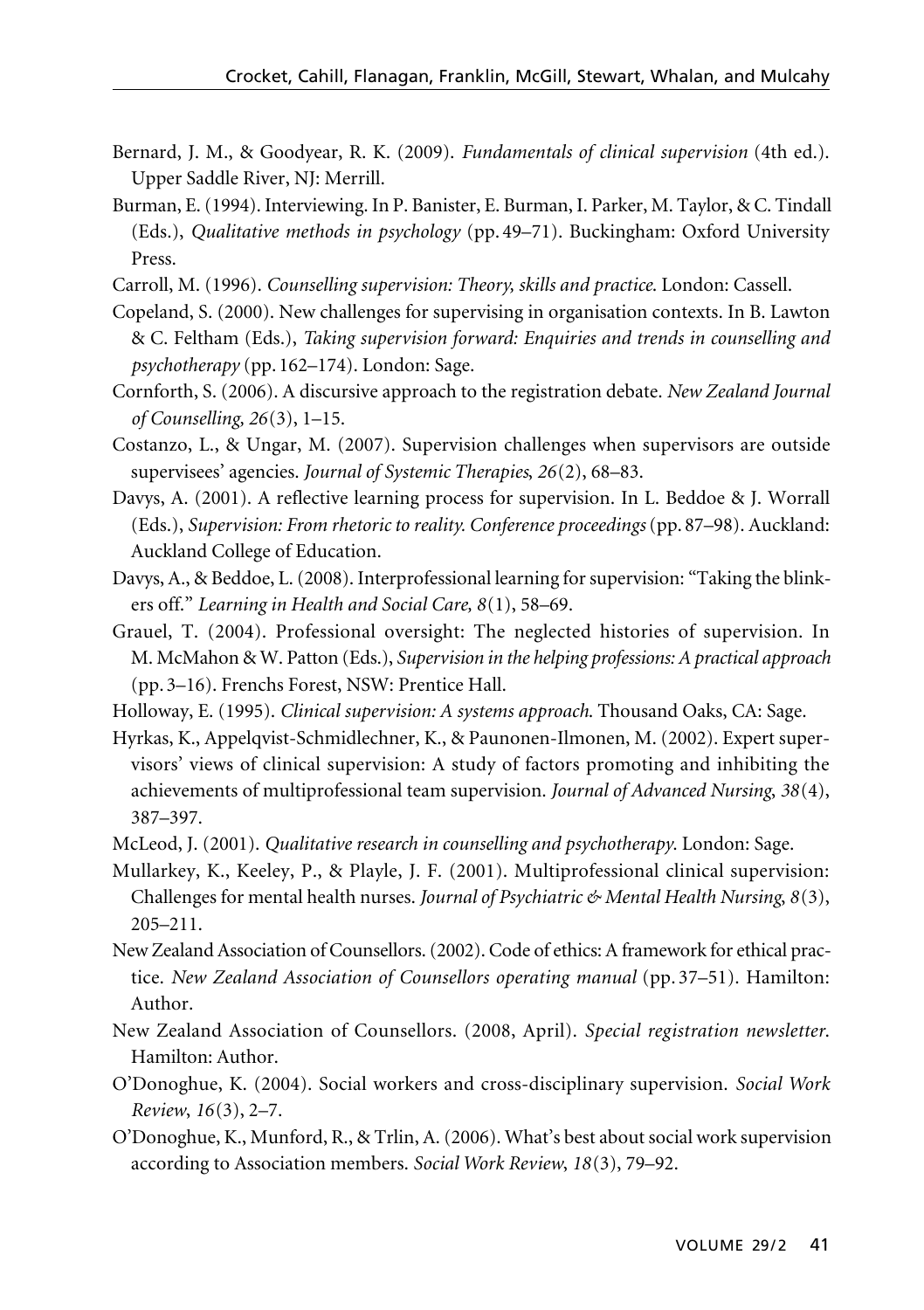- Bernard, J. M., & Goodyear, R. K. (2009). *Fundamentals of clinical supervision* (4th ed.). Upper Saddle River, NJ: Merrill.
- Burman, E. (1994). Interviewing. In P. Banister, E. Burman, I. Parker, M. Taylor, & C. Tindall (Eds.), *Qualitative methods in psychology* (pp. 49–71). Buckingham: Oxford University Press.
- Carroll, M. (1996). *Counselling supervision: Theory, skills and practice*. London: Cassell.
- Copeland, S. (2000). New challenges for supervising in organisation contexts. In B. Lawton & C. Feltham (Eds.), *Taking supervision forward: Enquiries and trends in counselling and psychotherapy* (pp. 162–174). London: Sage.
- Cornforth, S. (2006). A discursive approach to the registration debate. *New Zealand Journal of Counselling, 26*(3), 1–15.
- Costanzo, L., & Ungar, M. (2007). Supervision challenges when supervisors are outside supervisees' agencies. *Journal of Systemic Therapies*, *26*(2), 68–83.
- Davys, A. (2001). A reflective learning process for supervision. In L. Beddoe & J. Worrall (Eds.), *Supervision: From rhetoric to reality. Conference proceedings* (pp. 87–98). Auckland: Auckland College of Education.
- Davys, A., & Beddoe, L. (2008). Interprofessional learning for supervision: "Taking the blinkers off." *Learning in Health and Social Care, 8*(1), 58–69.
- Grauel, T. (2004). Professional oversight: The neglected histories of supervision. In M. McMahon & W. Patton (Eds.), *Supervision in the helping professions: A practical approach* (pp. 3–16). Frenchs Forest, NSW: Prentice Hall.
- Holloway, E. (1995). *Clinical supervision: A systems approach*. Thousand Oaks, CA: Sage.
- Hyrkas, K., Appelqvist-Schmidlechner, K., & Paunonen-Ilmonen, M. (2002). Expert supervisors' views of clinical supervision: A study of factors promoting and inhibiting the achievements of multiprofessional team supervision. *Journal of Advanced Nursing*, *38*(4), 387–397.
- McLeod, J. (2001). *Qualitative research in counselling and psychotherapy*. London: Sage.
- Mullarkey, K., Keeley, P., & Playle, J. F. (2001). Multiprofessional clinical supervision: Challenges for mental health nurses. *Journal of Psychiatric & Mental Health Nursing*, *8*(3), 205–211.
- New Zealand Association of Counsellors. (2002). Code of ethics: A framework for ethical practice. *New Zealand Association of Counsellors operating manual* (pp. 37–51). Hamilton: Author.
- New Zealand Association of Counsellors. (2008, April). *Special registration newsletter*. Hamilton: Author.
- O'Donoghue, K. (2004). Social workers and cross-disciplinary supervision. *Social Work Review*, *16*(3), 2–7.
- O'Donoghue, K., Munford, R., & Trlin, A. (2006). What's best about social work supervision according to Association members. *Social Work Review*, *18*(3), 79–92.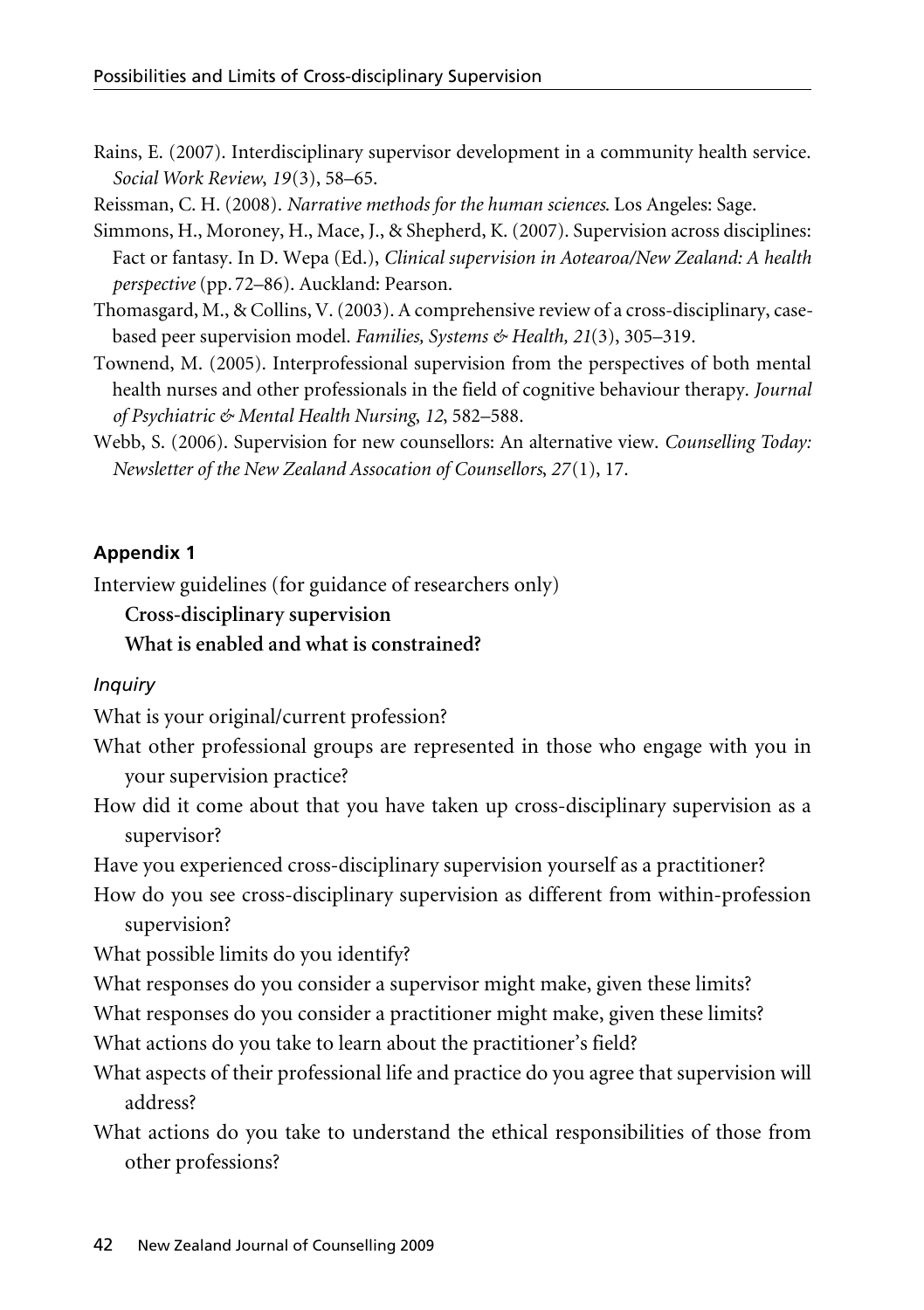Rains, E. (2007). Interdisciplinary supervisor development in a community health service. *Social Work Review*, *19*(3), 58–65.

Reissman, C. H. (2008). *Narrative methods for the human sciences*. Los Angeles: Sage.

- Simmons, H., Moroney, H., Mace, J., & Shepherd, K. (2007). Supervision across disciplines: Fact or fantasy. In D. Wepa (Ed.), *Clinical supervision in Aotearoa/New Zealand: A health perspective* (pp. 72–86). Auckland: Pearson.
- Thomasgard, M., & Collins, V. (2003). A comprehensive review of a cross-disciplinary, casebased peer supervision model. *Families, Systems & Health, 21*(3), 305–319.
- Townend, M. (2005). Interprofessional supervision from the perspectives of both mental health nurses and other professionals in the field of cognitive behaviour therapy. *Journal of Psychiatric & Mental Health Nursing*, *12*, 582–588.
- Webb, S. (2006). Supervision for new counsellors: An alternative view. *Counselling Today: Newsletter of the New Zealand Assocation of Counsellors*, *27*(1), 17.

# **Appendix 1**

Interview guidelines (for guidance of researchers only)

## **Cross-disciplinary supervision**

## **What is enabled and what is constrained?**

# *Inquiry*

What is your original/current profession?

- What other professional groups are represented in those who engage with you in your supervision practice?
- How did it come about that you have taken up cross-disciplinary supervision as a supervisor?

Have you experienced cross-disciplinary supervision yourself as a practitioner?

How do you see cross-disciplinary supervision as different from within-profession supervision?

What possible limits do you identify?

What responses do you consider a supervisor might make, given these limits?

What responses do you consider a practitioner might make, given these limits?

What actions do you take to learn about the practitioner's field?

What aspects of their professional life and practice do you agree that supervision will address?

What actions do you take to understand the ethical responsibilities of those from other professions?